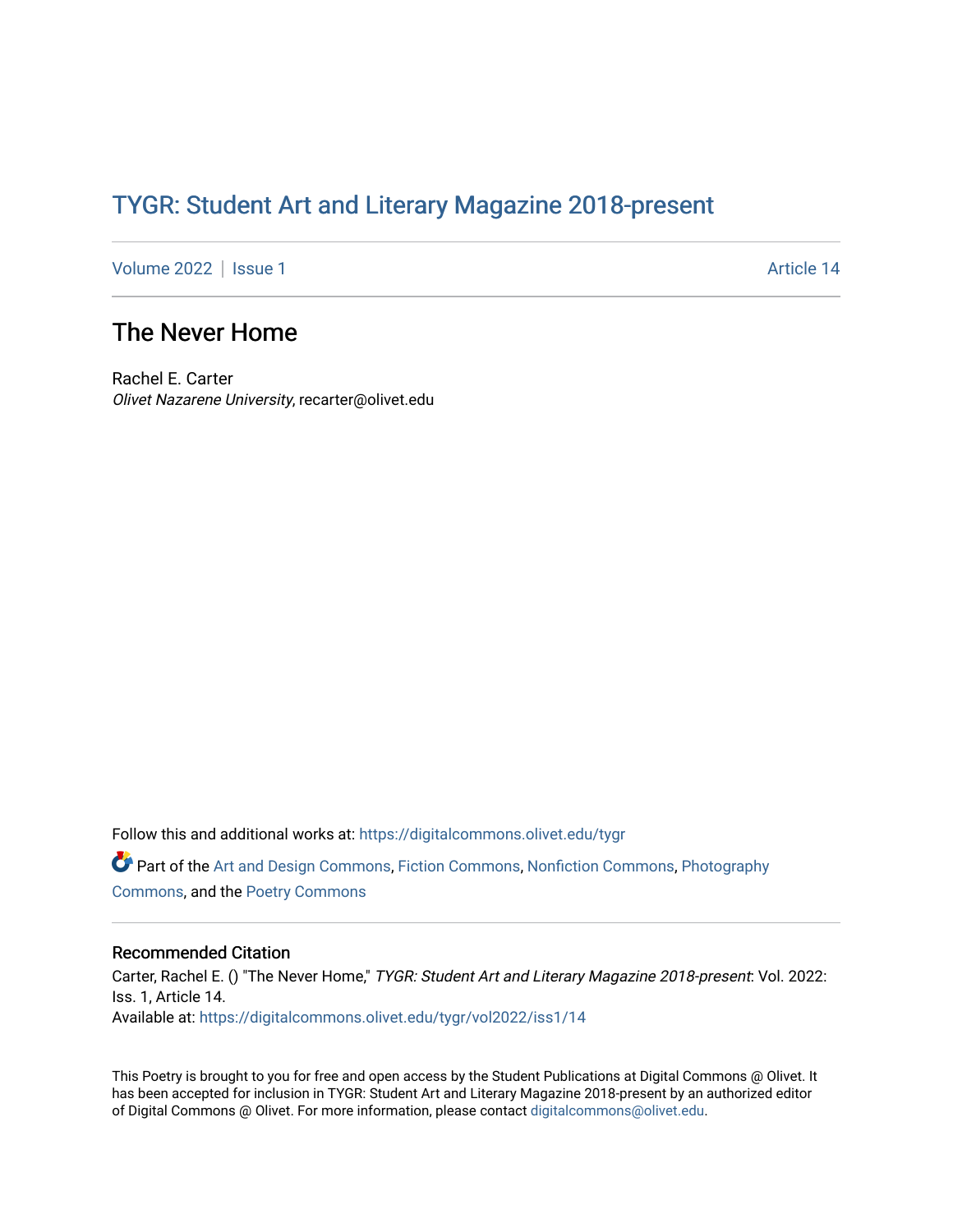## TYGR: Student Art and Literary Magazine 2018-present

[Volume 2022](https://digitalcommons.olivet.edu/tygr/vol2022) | [Issue 1](https://digitalcommons.olivet.edu/tygr/vol2022/iss1) Article 14

## The Never Home

Rachel E. Carter Olivet Nazarene University, recarter@olivet.edu

Follow this and additional works at: [https://digitalcommons.olivet.edu/tygr](https://digitalcommons.olivet.edu/tygr?utm_source=digitalcommons.olivet.edu%2Ftygr%2Fvol2022%2Fiss1%2F14&utm_medium=PDF&utm_campaign=PDFCoverPages) Part of the [Art and Design Commons](http://network.bepress.com/hgg/discipline/1049?utm_source=digitalcommons.olivet.edu%2Ftygr%2Fvol2022%2Fiss1%2F14&utm_medium=PDF&utm_campaign=PDFCoverPages), [Fiction Commons](http://network.bepress.com/hgg/discipline/1151?utm_source=digitalcommons.olivet.edu%2Ftygr%2Fvol2022%2Fiss1%2F14&utm_medium=PDF&utm_campaign=PDFCoverPages), [Nonfiction Commons,](http://network.bepress.com/hgg/discipline/1152?utm_source=digitalcommons.olivet.edu%2Ftygr%2Fvol2022%2Fiss1%2F14&utm_medium=PDF&utm_campaign=PDFCoverPages) [Photography](http://network.bepress.com/hgg/discipline/1142?utm_source=digitalcommons.olivet.edu%2Ftygr%2Fvol2022%2Fiss1%2F14&utm_medium=PDF&utm_campaign=PDFCoverPages) [Commons](http://network.bepress.com/hgg/discipline/1142?utm_source=digitalcommons.olivet.edu%2Ftygr%2Fvol2022%2Fiss1%2F14&utm_medium=PDF&utm_campaign=PDFCoverPages), and the [Poetry Commons](http://network.bepress.com/hgg/discipline/1153?utm_source=digitalcommons.olivet.edu%2Ftygr%2Fvol2022%2Fiss1%2F14&utm_medium=PDF&utm_campaign=PDFCoverPages)

## Recommended Citation

Carter, Rachel E. () "The Never Home," TYGR: Student Art and Literary Magazine 2018-present: Vol. 2022: Iss. 1, Article 14. Available at: [https://digitalcommons.olivet.edu/tygr/vol2022/iss1/14](https://digitalcommons.olivet.edu/tygr/vol2022/iss1/14?utm_source=digitalcommons.olivet.edu%2Ftygr%2Fvol2022%2Fiss1%2F14&utm_medium=PDF&utm_campaign=PDFCoverPages) 

This Poetry is brought to you for free and open access by the Student Publications at Digital Commons @ Olivet. It has been accepted for inclusion in TYGR: Student Art and Literary Magazine 2018-present by an authorized editor of Digital Commons @ Olivet. For more information, please contact [digitalcommons@olivet.edu.](mailto:digitalcommons@olivet.edu)